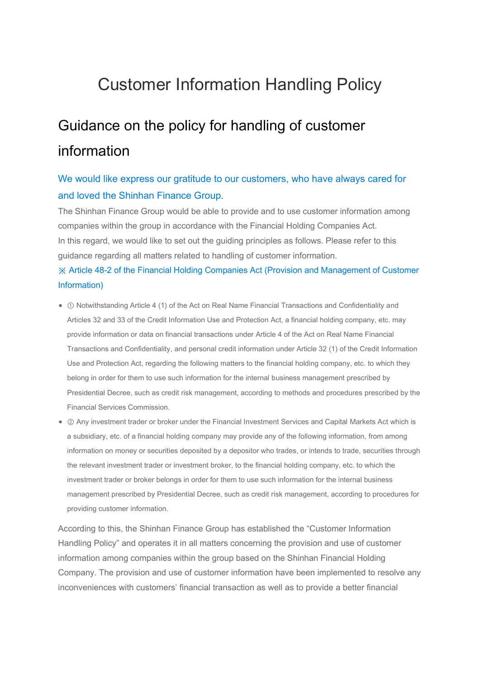## Customer Information Handling Policy

# Guidance on the policy for handling of customer information

### We would like express our gratitude to our customers, who have always cared for and loved the Shinhan Finance Group.

The Shinhan Finance Group would be able to provide and to use customer information among companies within the group in accordance with the Financial Holding Companies Act. In this regard, we would like to set out the guiding principles as follows. Please refer to this guidance regarding all matters related to handling of customer information. ※ Article 48-2 of the Financial Holding Companies Act (Provision and Management of Customer Information)

- ① Notwithstanding Article 4 (1) of the Act on Real Name Financial Transactions and Confidentiality and Articles 32 and 33 of the Credit Information Use and Protection Act, a financial holding company, etc. may provide information or data on financial transactions under Article 4 of the Act on Real Name Financial Transactions and Confidentiality, and personal credit information under Article 32 (1) of the Credit Information Use and Protection Act, regarding the following matters to the financial holding company, etc. to which they belong in order for them to use such information for the internal business management prescribed by Presidential Decree, such as credit risk management, according to methods and procedures prescribed by the Financial Services Commission.
- ② Any investment trader or broker under the Financial Investment Services and Capital Markets Act which is a subsidiary, etc. of a financial holding company may provide any of the following information, from among information on money or securities deposited by a depositor who trades, or intends to trade, securities through the relevant investment trader or investment broker, to the financial holding company, etc. to which the investment trader or broker belongs in order for them to use such information for the internal business management prescribed by Presidential Decree, such as credit risk management, according to procedures for providing customer information.

According to this, the Shinhan Finance Group has established the "Customer Information Handling Policy" and operates it in all matters concerning the provision and use of customer information among companies within the group based on the Shinhan Financial Holding Company. The provision and use of customer information have been implemented to resolve any inconveniences with customers' financial transaction as well as to provide a better financial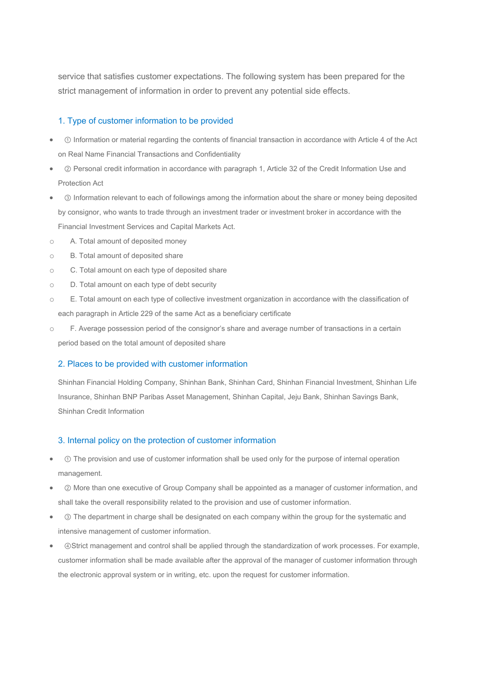service that satisfies customer expectations. The following system has been prepared for the strict management of information in order to prevent any potential side effects.

#### 1. Type of customer information to be provided

- ① Information or material regarding the contents of financial transaction in accordance with Article 4 of the Act on Real Name Financial Transactions and Confidentiality
- ② Personal credit information in accordance with paragraph 1, Article 32 of the Credit Information Use and Protection Act
- ③ Information relevant to each of followings among the information about the share or money being deposited by consignor, who wants to trade through an investment trader or investment broker in accordance with the Financial Investment Services and Capital Markets Act.
- o A. Total amount of deposited money
- o B. Total amount of deposited share
- o C. Total amount on each type of deposited share
- o D. Total amount on each type of debt security
- o E. Total amount on each type of collective investment organization in accordance with the classification of each paragraph in Article 229 of the same Act as a beneficiary certificate
- o F. Average possession period of the consignor's share and average number of transactions in a certain period based on the total amount of deposited share

#### 2. Places to be provided with customer information

Shinhan Financial Holding Company, Shinhan Bank, Shinhan Card, Shinhan Financial Investment, Shinhan Life Insurance, Shinhan BNP Paribas Asset Management, Shinhan Capital, Jeju Bank, Shinhan Savings Bank, Shinhan Credit Information

#### 3. Internal policy on the protection of customer information

- ① The provision and use of customer information shall be used only for the purpose of internal operation management.
- ② More than one executive of Group Company shall be appointed as a manager of customer information, and shall take the overall responsibility related to the provision and use of customer information.
- ③ The department in charge shall be designated on each company within the group for the systematic and intensive management of customer information.
- ④Strict management and control shall be applied through the standardization of work processes. For example, customer information shall be made available after the approval of the manager of customer information through the electronic approval system or in writing, etc. upon the request for customer information.